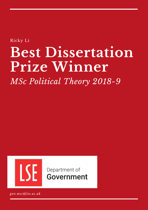Ricky Li

# **Best Dissertation Prize Winner**

*MSc Political Theory 2018-9*



Department of Government

*gov.msc@lse.ac.uk*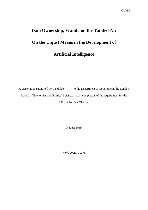# **Data Ownership, Fraud and the Tainted AI: On the Unjust Means in the Development of Artificial Intelligence**

A dissertation submitted by Candidate to the Department of Government, the London School of Economics and Political Science, in part completion of the requirement for the MSc in Political Theory.

August 2019

Word count: 10379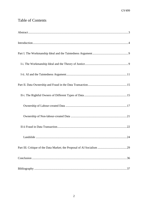#### **Table of Contents**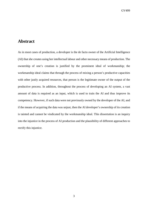#### <span id="page-3-0"></span>**Abstract**

As in most cases of production, a developer is the de facto owner of the Artificial Intelligence (AI) that she creates using her intellectual labour and other necessary means of production. The ownership of one's creation is justified by the prominent ideal of workmanship; the workmanship ideal claims that through the process of mixing a person's productive capacities with other justly acquired resources, that person is the legitimate owner of the output of the productive process. In addition, throughout the process of developing an AI system, a vast amount of data is required as an input, which is used to train the AI and thus improve its competency. However, if such data were not previously owned by the developer of the AI, and if the means of acquiring the data was unjust, then the AI developer's ownership of its creation is tainted and cannot be vindicated by the workmanship ideal. This dissertation is an inquiry into the injustice in the process of AI production and the plausibility of different approaches to rectify this injustice.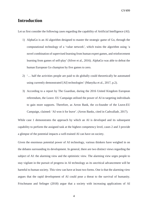#### <span id="page-4-0"></span>**Introduction**

Let us first consider the following cases regarding the capability of Artificial Intelligence (AI).

- 1) AlphaGo is an AI algorithm designed to master the strategic game of Go, through the computational technology of a 'value network', which trains the algorithm using 'a novel combination of supervised learning from human expert games, and reinforcement learning from games of self-play' (Silver et al., 2016). AlphaGo was able to defeat the human European Go champion by five games to zero.
- 2) '… half the activities people are paid to do globally could theoretically be automated using currently demonstrated [AI] technologies' (Manyika et al., 2017, p.2).
- 3) According to a report by The Guardian, during the 2016 United Kingdom European referendum, the Leave. EU Campaign utilised the power of AI in targeting individuals to gain more supports. Therefore, as Arron Bank, the co-founder of the Leave.EU Campaign, claimed: 'AI won it for leave'. (Arron Banks, cited in Cadwalladr, 2017).

While case 1 demonstrates the approach by which an AI is developed and its subsequent capability to perform the assigned task at the highest competency level, cases 2 and 3 provide a glimpse of the potential impacts a well-trained AI can have on society.

Given the enormous potential power of AI technology, various thinkers have weighed in on the debates surrounding its development. In general, there are two distinct views regarding the subject of AI: the alarming view and the optimistic view. The alarming view urges people to stay vigilant in the pursuit of progress in AI technology as its uncritical advancement will be harmful to human society. This view can have at least two forms. One is that the alarming view argues that the rapid development of AI could pose a threat to the survival of humanity. Frischmann and Selinger (2018) argue that a society with increasing applications of AI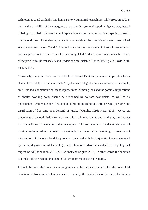technologies could gradually turn humans into programmable machines, while Bostrom (2014) hints at the possibility of the emergence of a powerful system of superintelligence that, instead of being controlled by humans, could replace humans as the most dominant species on earth. The second form of the alarming view is cautious about the unrestricted development of AI since, according to cases 2 and 3, AI could bring an enormous amount of social resources and political power to its owners. Therefore, an unregulated AI distribution undermines the feature of reciprocity in a liberal society and renders society unstable (Cohen, 1995, p.25; Rawls, 2001, pp.123, 138).

Conversely, the optimistic view indicates the potential Pareto improvement in people's living standards in a state of affairs in which AI systems are integrated into social lives. For example, an AI-fuelled automation's ability to replace mind-numbing jobs and the possible implications of shorter working hours should be welcomed by welfare economists, as well as by philosophers who value the Aristotelian ideal of meaningful work or who perceive the distribution of free time as a demand of justice (Murphy, 1993; Rose, 2013). Moreover, proponents of the optimistic view are faced with a dilemma: on the one hand, they must accept that some forms of incentive to the developers of AI are beneficial for the acceleration of breakthroughs in AI technologies, for example tax break or the lessening of government intervention. On the other hand, they are also concerned with the inequalities that are generated by the rapid growth of AI technologies and, therefore, advocate a redistributive policy that targets the AI (Stone et al., 2016, p.9; Korinek and Stiglitz, 2018). In other words, the dilemma is a trade-off between the freedom in AI development and social equality.

It should be noted that both the alarming view and the optimistic view look at the issue of AI development from an end-state perspective; namely, the desirability of the state of affairs in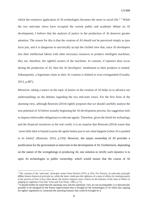which the extensive application of AI technologies becomes the norm in social life.<sup>[1](#page-6-0)</sup> <sup>[2](#page-6-1)</sup> While the two end-state views have occupied the current public and academic debate on AI development, I believe that the analysis of justice in the production of AI deserves greater attention. The reason for this is that the creation of AI should not be perceived simply as ipso facto just, and it is dangerous to uncritically accept the clichéd view that, since AI developers mix their intellectual labour with other necessary resources to produce intelligent machines, they are, therefore, the rightful owners of the machines. In contrast, if injustice does occur during the production of AI, then the AI developers' entitlement to their products is tainted. Subsequently, a legitimate claim to their AI creation is limited or even extinguished (Goodin, 2013, p.487).

Moreover, taking a stance on the topic of justice in the creation of AI helps us to advance our understandings on the debates regarding the two end-state views. For the first form of the alarming view, although Bostrom (2014) rightly proposes that we should carefully analyse the true potential of AI before actually beginning the AI development process, his suggestion fails to impose enforceable obligations to relevant agents. Therefore, given the fetish for technology and the financial incentives in the real world, it is no surprise that Bostrom (2014) warns that 'some little idiot is bound to press the ignite button just to see what happens [when AI is pushed to its limits]' (Bostrom, 2014, p.259). However, the unjust ownership of AI provides a justification for the government to intervene in the development of AI. Furthermore, depending on the nature of the wrongdoings in producing AI, one solution to rectify such injustice is to open AI technologies to public ownership, which would ensure that the course of AI

**.** 

<span id="page-6-0"></span><sup>&</sup>lt;sup>1</sup> The concept of the 'end-state' principle comes from Nozick (1974, p.155). For Nozick, an end-state principle differs from a historical principle as, while the latter vindicates the rightness of a state of affairs by looking mainly at the process of how it has come about, the former imposes extra criteria on the features of the state of affairs in judging its rightness (Van Der Veen and Van Parijs, 1985, p.71).

<span id="page-6-1"></span><sup>&</sup>lt;sup>2</sup> It should further be noted that the alarming view and the optimistic view are not incompatible; it is theoretically possible to be intrigued by the Pareto improvement that is brought by the technologies of AI while also arguing for tighter regulations to constraint the alarming features that could be brought by it.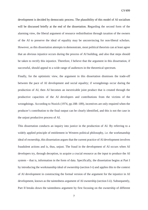development is decided by democratic process. The plausibility of this model of AI socialism will be discussed briefly at the end of the dissertation. Regarding the second form of the alarming view, the liberal argument of resource redistribution through taxation of the owners of the AI to preserve the ideal of equality may be unconvincing for non-liberal scholars. However, as this dissertation attempts to demonstrate, most political theorists can at least agree that an obvious injustice occurs during the process of AI building, and also that steps should be taken to rectify this injustice. Therefore, I believe that the argument in this dissertation, if successful, should appeal to a wide range of audiences in the theoretical spectrum.

Finally, for the optimistic view, the argument in this dissertation dismisses the trade-off between the pace of AI development and social equality; if wrongdoings occur during the production of AI, then AI becomes an inextricable joint product that is created through the productive capacities of the AI developers and contributions from the victims of the wrongdoings. According to Nozick (1974, pp.188–189), incentives are only required when the producer's contribution to the final output can be clearly identified, and this is not the case in the unjust productive process of AI.

This dissertation conducts an inquiry into justice in the production of AI. By referring to a widely applied principle of entitlement in Western political philosophy, i.e. the workmanship ideal of ownership, this dissertation argues that the current practice of AI development involves fraudulent actions and is, thus, unjust. The fraud in the development of AI occurs when AI developers try, through deception, to acquire a crucial resource as the input to produce the AI system – that is, information in the form of data. Specifically, the dissertation begins at Part I by introducing the workmanship ideal of ownership (section I-i) and applies this to the context of AI development in constructing the formal version of the argument for the injustice in AI development, known as the taintedness argument of AI ownership (section I-ii). Subsequently, Part II breaks down the taintedness argument by first focusing on the ownership of different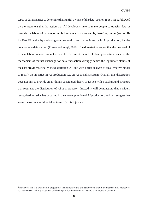types of data and tries to determine the rightful owners of the data (section II-i). This is followed by the argument that the action that AI developers take to make people to transfer data or provide the labour of data reporting is fraudulent in nature and is, therefore, unjust (section IIii). Part III begins by analysing one proposal to rectify the injustice in AI production, i.e. the creation of a data market (Posner and Weyl, 2018). The dissertation argues that the proposal of a data labour market cannot eradicate the unjust nature of data production because the mechanism of market exchange for data transaction wrongly denies the legitimate claims of the data providers. Finally, the dissertation will end with a brief analysis of an alternative model to rectify the injustice in AI production, i.e. an AI socialist system. Overall, this dissertation does not aim to provide an all-things-considered theory of justice with a background structure that regulates the distribution of AI as a property.<sup>[3](#page-8-0)</sup> Instead, it will demonstrate that a widely recognised injustice has occurred in the current practice of AI production, and will suggest that some measures should be taken to rectify this injustice.

 $\overline{a}$ 

<span id="page-8-0"></span><sup>&</sup>lt;sup>3</sup> However, this is a worthwhile project that the holders of the end-state views should be interested in. Moreover, as I have discussed, my argument will be helpful for the holders of the end-state views to this end.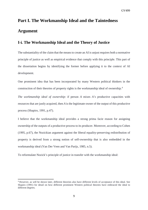### <span id="page-9-0"></span>**Part I. The Workmanship Ideal and the Taintedness Argument**

#### <span id="page-9-1"></span>**I***-***i***.* **The Workmanship Ideal and the Theory of Justice**

The substantiality of the claim that the means to create an AI is unjust requires both a normative principle of justice as well as empirical evidence that comply with this principle. This part of the dissertation begins by identifying the former before applying it to the context of AI development.

One prominent idea that has been incorporated by many Western political thinkers in the construction of their theories of property rights is the workmanship ideal of ownership.[4](#page-9-2)

*The workmanship ideal of ownership*: if person *A* mixes *A's* productive capacities with resources that are justly acquired, then *A* is the legitimate owner of the output of this productive process (Shapiro, 1991, p.47).

I believe that the workmanship ideal provides a strong prima facie reason for assigning ownership of the outputs of a productive process to its producer. Moreover, according to Cohen (1995, p.67), the Nozickian argument against the liberal equality-preserving redistribution of property is derived from a strong notion of self-ownership that is also embedded in the workmanship ideal (Van Der Veen and Van Parijs, 1985, n.5).

To reformulate Nozick's principle of justice in transfer with the workmanship ideal:

 $\overline{a}$ 

<span id="page-9-2"></span><sup>4</sup> However, as will be shown later, different theorists also have different levels of acceptance of this ideal. See Shapiro (1991) for detail on how different prominent Western political theories have embraced the ideal to different degrees.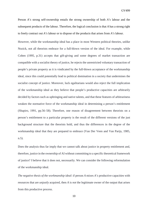Person *A's* strong self-ownership entails the strong ownership of both *A's* labour and the subsequent products of the labour. Therefore, the logical conclusion is that *A* has a strong right to freely contract out *A's* labour or to dispose of the products that arises from *A's* labour.

However, while the workmanship ideal has a place in most Western political theories, unlike Nozick, not all theorists embrace for a full-blown version of the ideal. For example, while Cohen (1995, p.31) accepts that gift-giving and some degrees of market transaction are compatible with a socialist theory of justice, he rejects the unrestricted voluntary transaction of people's private property as it is vindicated by the full-blown acceptance of the workmanship ideal, since this could potentially lead to political domination in a society that undermines the socialist concept of justice. Moreover, luck egalitarians would also reject the full implication of the workmanship ideal as they believe that people's productive capacities are arbitrarily decided by factors such as upbringing and native talents, and that these features of arbitrariness weaken the normative force of the workmanship ideal in determining a person's entitlement (Shapiro, 1991, pp.56–58). Therefore, one reason of disagreement between theorists on a person's entitlement to a particular property is the result of the different versions of the just background structure that the theorists hold, and thus the differences in the degree of the workmanship ideal that they are prepared to embrace (Van Der Veen and Van Parijs, 1985, n.5).

Does the analysis thus far imply that we cannot talk about justice in property entitlement and, therefore, justice in the ownership of AI without committing to a specific theoretical framework of justice? I believe that it does not, necessarily. We can consider the following reformulation of the workmanship ideal.

*The negative thesis of the workmanship ideal*: if person *A* mixes *A's* productive capacities with resources that are *unjustly* acquired, then *A* is *not* the legitimate owner of the output that arises from this productive process.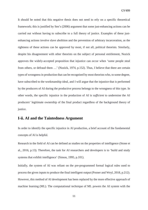It should be noted that this negative thesis does not need to rely on a specific theoretical framework; this is justified by Sen's (2006) argument that some just-enhancing actions can be carried out without having to subscribe to a full theory of justice. Examples of these justenhancing actions involve slave abolition and the prevention of arbitrary incarceration, as the rightness of these actions can be approved by most, if not all, political theorists. Similarly, despite his disagreement with other theorists on the subject of personal entitlement, Nozick approves the widely-accepted proposition that injustice can occur when 'some people steal from others, or defraud them …' (Nozick, 1974, p.152). Thus, I believe that there are certain types of wrongness in production that can be recognised by most theorists who, to some degree, have subscribed to the workmanship ideal, and I will argue that the injustice that is performed by the producers of AI during the productive process belongs to the wrongness of this type. In other words, the specific injustice in the production of AI is *sufficient* to undermine the AI producers' legitimate ownership of the final product regardless of the background theory of justice.

#### <span id="page-11-0"></span>**I-ii. AI and the Taintedness Argument**

In order to identify the specific injustice in AI production, a brief account of the fundamental concepts of AI is helpful.

Research in the field of AI can be defined as studies on the properties of intelligence (Stone et al., 2016, p.13). Therefore, the task for AI researchers and developers is to 'build and study systems that exhibit intelligence' (Simon, 1995, p.101).

Initially, the system of AI was reliant on the pre-programmed formal logical rules used to process the given inputs to produce the final intelligent output (Posner and Weyl, 2018, p.212). However, this method of AI development has been replaced by the more effective approach of machine learning (ML). The computational technique of ML powers the AI system with the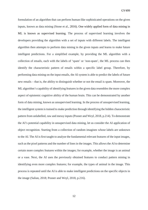formulation of an algorithm that can perform human-like sophisticated operations on the given inputs, known as data mining (Stone et al., 2016). One widely applied form of data mining in ML is known as supervised learning. The process of supervised learning involves the developers providing the algorithm with a set of inputs with different labels. The intelligent algorithm then attempts to perform data mining in the given inputs and learns to make future intelligent predictions. For a simplified example, by providing the ML algorithm with a collection of emails, each with the labels of 'spam' or 'non-spam', the ML process can then identify the characteristic pattern of emails within a specific label group. Therefore, by performing data mining on the input emails, the AI system is able to predict the labels of future new emails – that is, the ability to distinguish whether or not the email is spam. Moreover, the ML algorithm's capability of identifying features in the given data resembles the more complex aspect of epistemic cognitive ability of the human brain. This can be demonstrated by another form of data mining, known as unsupervised learning. In the process of unsupervised learning, the intelligent system is trained to make prediction through identifying the hidden characteristic pattern from unlabelled, raw and messy inputs (Posner and Weyl, 2018, p.214). To demonstrate the AI's potential capability in unsupervised data mining, let us consider the AI application of object recognition. Starting from a collection of random imagines whose labels are unknown to the AI. The AI is first taught to analyse the fundamental relevant features of the input images, such as the pixel patterns and the number of lines in the images. This allows the AI to determine certain more complex features within the images; for example, whether the image is an animal or a vase. Next, the AI uses the previously obtained features to conduct pattern mining in identifying even more complex features; for example, the types of animal in the image. This process is repeated until the AI is able to make intelligent predictions on the specific objects in the image (Salian, 2018; Posner and Weyl, 2018, p.216).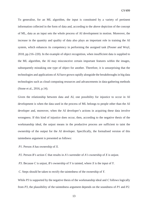To generalise, for an ML algorithm, the input is constituted by a variety of pertinent information collected in the form of data and, according to the above depiction of the concept of ML, data as an input sets the whole process of AI development in motion. Moreover, the increase in the quantity and quality of data also plays an important role in training the AI system, which enhances its competency in performing the assigned task (Posner and Weyl, 2018, pp.216–220). In the example of object recognition, when insufficient data is supplied to the ML algorithm, the AI may misconceive certain important features within the images, subsequently mistaking one type of object for another. Therefore, it is unsurprising that the technologies and applications of AI have grown rapidly alongside the breakthroughs in big data technologies such as cloud computing resources and advancements in data-gathering methods (Stone et al., 2016, p.14).

Given the relationship between data and AI, one possibility for injustice to occur in AI development is when the data used in the process of ML belongs to people other than the AI developer and, moreover, when the AI developer's actions in acquiring these data involve wrongness. If this kind of injustice does occur, then, according to the negative thesis of the workmanship ideal, the unjust means in the productive process are sufficient to taint the ownership of the output for the AI developer. Specifically, the formalised version of this taintedness argument is presented as follows:

- *P1*. Person *A* has ownership of *X*.
- *P2*. Person *B's* action *C* that results in *A's* surrender of *A's* ownership of *X* is unjust.

*P3*. Because *C* is unjust, *B's* ownership of *Y* is tainted, where *X* is the input of *Y*.

*C*. Steps should be taken to rectify the taintedness of the ownership of *Y*.

While *P3* is supported by the negative thesis of the workmanship ideal and *C* follows logically from *P3*, the plausibility of the taintedness argument depends on the soundness of *P1* and *P2.*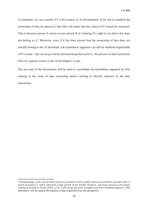To elaborate, we can consider *P1* in the context of AI development. If we fail to establish the ownership of data for person *A*, then this will imply that the claim in *P2* cannot be sustained. This is because person *A* cannot accuse person *B* of violating *A's* right to an object that does not belong to *A*. [5](#page-14-0) Moreover, even if it has been proved that the ownership of data does not initially belong to the AI developer, the taintedness argument can still be rendered implausible if  $P2$  is false – this can be proved by demonstrating that action  $C$ , the process of data transaction from its original owners to the AI developers, is just.

The next part of the dissertation will be used to consolidate the taintedness argument by first looking at the issue of data ownership before turning to identify injustice in the data transaction.

 $\overline{a}$ 

<span id="page-14-0"></span><sup>5</sup> Except perhaps in the case of initial resource acquisition: if the worldly resources are initially unowned, then, if person *B* acquires *X*, which represents a large portion of the worldly resources, and leaves person *A* with almost nothing, according to Otsuka (2003, p.23), it still seems that some wrongness has been committed against *A*. This dissertation will not analyse the injustice in data acquisition from this perspective.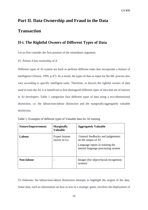# <span id="page-15-0"></span>**Part II. Data Ownership and Fraud in the Data Transaction**

#### <span id="page-15-1"></span>**II-i. The Rightful Owners of Different Types of Data**

Let us first consider the first premise of the taintedness argument.

*P1*. Person *A* has ownership of *X*.

Different types of AI system are built to perform different tasks that incorporate a feature of intelligence (Simon, 1995, p.47). As a result, the types of data as input for the ML process also vary according to specific intelligent tasks. Therefore, to discern the rightful owners of data used to train the AI, it is beneficial to first distinguish different types of data that are of interest to AI developers. Table 1 categorises four different types of data using a two-dimensional distinction, i.e. the labour/non-labour distinction and the marginally/aggregately valuable distinction.

| Nature/Improvement | <b>Marginally</b><br><b>Valuable</b> | <b>Aggregately Valuable</b>                                                                                                      |
|--------------------|--------------------------------------|----------------------------------------------------------------------------------------------------------------------------------|
| Labour             | Expert human<br>moves in Go          | General feedbacks and judgements<br>on the output of AI<br>Language inputs in training the<br>natural language processing system |
| Non-labour         |                                      | Images (for object/facial-recognition)<br>system)                                                                                |

Table 1. Examples of different types of Valuable data for AI training

To elaborate, the labour/non-labour distinction attempts to highlight the origins of the data. Some data, such as information on how to win in a strategic game, involves the deployment of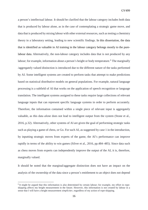a person's intellectual labour. It should be clarified that the labour category includes both data that is produced by labour alone, as in the case of contemplating a strategic game move, and data that is produced by mixing labour with other external resources, such as testing a chemistry theory in a laboratory setting, leading to new scientific findings. In this dissertation, the data that is identified as valuable in AI training in the labour category belongs mostly to the purelabour data. Alternatively, the non-labour category includes data that is not produced by any labour; for example, information about a person's height or body temperature.<sup>[6](#page-16-0)</sup> The marginally /aggregately valued distinction is introduced due to the different nature of the tasks performed by AI. Some intelligent systems are created to perform tasks that attempt to make predictions based on statistical distributive models on general populations. For example, natural language processing is a subfield of AI that works on the application of speech recognition or language translation. The intelligent systems assigned to these tasks require large collections of relevant language inputs that can represent specific language systems in order to perform accurately. Therefore, the information contained within a single piece of relevant input is aggregately valuable, as this data *alone* does not lead to intelligent output from the system (Stone et al., 2016, p.32). Alternatively, other systems of AI are given the goal of performing strategic tasks such as playing a game of chess, or Go. For such AI, as suggested by case 1 in the introduction, by inputting strategic moves from experts of the game, the AI's performance can improve rapidly in terms of the ability to win games (Silver et al., 2016, pp.484–485). Since data such as chess moves from experts can independently improve the output of the AI, it is, therefore, marginally valued.

It should be noted that the marginal/aggregate distinction does not have an impact on the analysis of the ownership of the data since a person's entitlement to an object does not depend

**.** 

<span id="page-16-0"></span><sup>&</sup>lt;sup>6</sup> It might be argued that this information is also determined by certain labour; for example, my effort in ropeskipping affects my height measurement in the future. However, this information is not created by labour in a sense that I will have a height measurement *simpliciter*, regardless of my action of rope-skipping.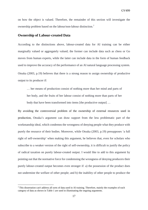on how the object is valued. Therefore, the remainder of this section will investigate the ownership problem based on the labour/non-labour distinction.[7](#page-17-1)

#### <span id="page-17-0"></span>**Ownership of Labour-created Data**

According to the distinctions above, labour-created data for AI training can be either marginally valued or aggregately valued; the former can include data such as chess or Go moves from human experts, while the latter can include data in the form of human feedback used to improve the accuracy of the performance of an AI natural language processing system. Otsuka (2003, p.19) believes that there is a strong reason to assign ownership of productive output to its producer if:

… her means of production consist of nothing more than her mind and parts of her body, and the fruits of her labour consist of nothing more than parts of her body that have been transformed into items [the productive output] ...

By avoiding the controversial problem of the ownership of external resources used in production, Otsuka's argument can draw support from the less problematic part of the workmanship ideal, which condemns the wrongness of denying people what they produce with purely the resource of their bodies. Moreover, while Otsuka (2003, p.19) presupposes 'a full right of self-ownership' when making this argument, he believes that, even for scholars who subscribe to a weaker version of the right of self-ownership, it is difficult to justify the policy of radical taxation on purely labour-created output. I would like to add to this argument by pointing out that the normative force for condemning the wrongness of denying producers their purely labour-created output becomes even stronger if: a) the possession of the product does not undermine the welfare of other people; and b) the inability of other people to produce the

 $\overline{a}$ 

<span id="page-17-1"></span><sup>7</sup> This dissertation can't address all sorts of data used in AI training. Therefore, mainly the examples of each category of data as shown in Table 1 are used in illuminating the ongoing arguments.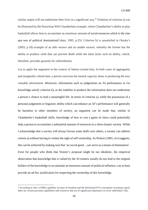similar output will *not* undermine their lives in a significant way.<sup>[8](#page-18-0)</sup> Violation of criterion a) can be illustrated by the Nozickian Wilt Chamberlain example, where Chamberlain's ability to play basketball allows him to accumulate an enormous amount of social resources which is the sine qua non of political domination(Cohen, 1995, p.25). Criterion b) is unsatisfied in Otsuka's (2003, p.18) example of an able weaver and an unable weaver, whereby the former has the ability to produce cloth that can prevent death while the latter lacks such an ability, which, therefore, provides grounds for redistribution.

Let us apply the argument in the context of labour-created data. In both cases of aggregately and marginally valued data, a person exercises his mental capacity alone in producing the new valuable information. Moreover, information such as judgements on AI performance or Go knowledge satisfy criterion b), as the inability to produce the information does not undermine a person's chance to lead a meaningful life. In terms of criterion a), while the possession of a personal judgement or linguistic ability which can enhance an AI's performance will generally be harmless to other members of society, an argument can be made that, similar to Chamberlin's basketball skills, knowledge of how to win a game of chess could potentially help a person to accumulate a substantial amount of resources in a chess-fanatic society. While I acknowledge that a society will always favour some skills over others, a society can address criteria a) without having to violate the right of self-ownership. As Walzer (1983, xiv) suggests, this can be achieved by making sure that 'no social good…can serve as a means of domination'. Even for people who think that Walzer's proposal might be too idealistic, the empirical observation that knowledge that is valued by the AI trainers usually do not lead to the original holders of the knowledge to accumulate an enormous amount of political influence, can at least provide an *ad hoc* justification for respecting the ownership of this knowledge.

 $\overline{a}$ 

<span id="page-18-0"></span><sup>8</sup> According to Sen's (1999) capability account of freedom and the Rawlsian(1971) conception of primary good, there are certain personal capabilities and resources that are of significant importance to every individual's life.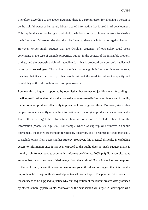Therefore, according to the above argument, there is a strong reason for allowing a person to be the rightful owner of her purely labour-created information that is used in AI development. This implies that she has the right to withhold the information or to choose the terms for sharing the information. Moreover, she should not be forced to share this information against her will. However, critics might suggest that the Otsukian argument of ownership could seem convincing in the case of tangible properties, but not in the context of the intangible property of data, and the ownership right of intangible data that is produced by a person's intellectual capacity is less stringent. This is due to the fact that intangible information is non-rivalrous, meaning that it can be used by other people without the need to reduce the quality and availability of the information for its original owners.

I believe this critique is supported by two distinct but connected justifications. According to the first justification, the claim is that, once the labour-created information is exposed in public, the information producer effectively imposes the knowledge on others. Moreover, since other people can independently access the information and the original producers cannot practically force others to forget the information, there is no reason to exclude others from the information (Moore, 2012, p.1092). For example, when a Go expert plays her moves in a public tournament, the moves are mentally recorded by observers, and it becomes difficult practically to exclude others from accessing her strategy. However, this practical difficulty in excluding access to information once it has been exposed to the public does not itself suggest that it is morally right for everyone to acquire this information (Himma, 2005, p.8). For example, let us assume that the vicious craft of dark magic from the world of *Harry Potter* has been exposed to the public and, hence, it is now known to everyone; this does not suggest that it is morally unproblematic to acquire this knowledge or to cast this evil spell. The point is that a normative reason needs to be supplied to justify why our acquisition of the labour-created data produced by others is morally permissible. Moreover, as the next section will argue, AI developers who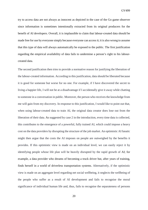try to access data are not always as innocent as depicted in the case of the Go game observer since information is sometimes intentionally extracted from its original producers for the benefit of AI developers. Overall, it is implausible to claim that labour-created data should be made free for use by everyone simply because everyone can access it; it is also wrong to assume that this type of data will always automatically be exposed to the public. The first justification regarding the empirical availability of data fails to undermine a person's right to his labourcreated data.

The second justification then tries to provide a normative reason for justifying the liberation of the labour-created information. According to this justification, data should be liberated because it is good for someone but worse for no one. For example, if I have discovered the secret to living a happier life, I will not be at a disadvantage if I accidentally give it away while chatting to someone in a conversation in public. Moreover, the person who receives the knowledge from me will gain from my discovery. In response to this justification, I would like to point out that, when using labour-created data to train AI, the original data creator does lose out from the liberation of their data. As suggested by case 2 in the introduction, every time data is collected, this contributes to the emergence of a powerful, fully trained AI, which could impose a heavy cost on the data providers by disrupting the structure of the job market. An optimistic AI fanatic might then argue that the costs the AI imposes on people are outweighed by the benefits it provides. If this optimistic view is made on an individual level, we can easily reject it by identifying people whose life plan will be heavily disrupted by the rapid growth of AI; for example, a data provider who dreams of becoming a truck driver but, after years of training, finds herself in a world of driverless transportation systems. Alternatively, if the optimistic view is made on an aggregate level regarding net social wellbeing, it neglects the wellbeing of the people who suffer as a result of AI development and fails to recognise the moral significance of individual human life and, thus, fails to recognise the separateness of persons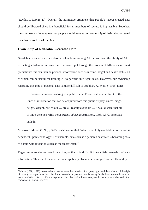(Rawls,1971,pp.26-27). Overall, the normative argument that people's labour-created data should be liberated since it is beneficial for all members of society is implausible. Together, the argument so far suggests that people should have strong ownership of their labour-created data that is used in AI training.

#### <span id="page-21-0"></span>**Ownership of Non-labour-created Data**

**.** 

Non-labour-created data can also be valuable in training AI. Let us recall the ability of AI to extracting substantial information from raw input through the process of ML to make smart predictions; this can include personal information such as income, height and health status, all of which can be useful for training AI to perform intelligent tasks. However, our ownership regarding this type of personal data is more difficult to establish. As Moore (1998) notes:

… consider someone walking in a public park. There is almost no limit to the kinds of information that can be acquired from this public display. One's image, height, weight, eye colour ... are all readily available ... it would seem that all of one's genetic profile *is not private information* (Moore, 1998, p.372, emphasis added).

Moreover, Moore (1998, p.372) is also aware that 'what is publicly available information is dependent upon technology'. For example, data such as a person's heart rate is becoming easy to obtain with inventions such as the smart watch.<sup>[9](#page-21-1)</sup>

Regarding non-labour-created data, I agree that it is difficult to establish ownership of such information. This is not because the data is publicly observable; as argued earlier, the ability to

<span id="page-21-1"></span><sup>&</sup>lt;sup>9</sup> Moore (1998, p.372) draws a distinction between the violation of property rights and the violation of the right of privacy; he argues that the collection of non-labour personal data is wrong for the latter reason. In order to avoid conflation between different arguments, this dissertation focuses only on the wrongness of data collection from an ownership perspective.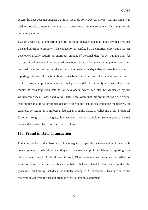access the data does not suggest that it is just to do so. However, privacy reasons aside, it is difficult to make a normative claim that a person owns the measurement of his height or his body temperature.

I would argue that a connection can still be found between our non-labour-created personal data and our right to property. This connection is justified by the empirical observation that AI developers usually require an enormous amount of personal data for AI training and, for reasons of efficiency and accuracy, AI developers are usually reliant on people to report such personal data. For this reason, the success of AI training is dependent on people's actions in reporting relevant information about themselves; therefore, even if a person does not have exclusive ownership of non-labour-created personal data, he certainly has ownership of his *labour of reporting* such data to AI developers, which can also be vindicated by the workmanship ideal (Posner and Weyl, 2018). I am aware that this argument has a deficiency, as it implies that, if AI developers decide to take up the task of data collection themselves, for example, by setting up a biological detector in a public place, or collecting users' biological features through smart gadgets, then we can have no complaint *from a property right perspective* against the data-collection activities.

#### <span id="page-22-0"></span>**II-ii Fraud in Data Transaction**

In the last section of the dissertation, it was argued that people have ownership of data that is created purely by their labour, and they also have ownership of their labour in reporting nonlabour-created data to AI developers. Overall, *P1* of the taintedness argument is justified as some forms of ownership have been established that are related to data that is used in the process of AI training that does not initially belong to AI developers. This section of the dissertation analyses the second premise of the taintedness argument.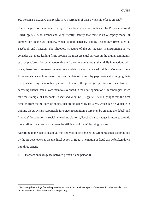*P2*. Person *B's* action *C* that results in *A's* surrender of their ownership of *X* is uniust.<sup>10</sup>

The wrongness of data collection by AI developers has been indicated by Posner and Weyl (2018, pp.220–223). Posner and Weyl rightly identify that there is an oligopoly model of competition in the AI industry, which is dominated by leading technology firms such as Facebook and Amazon. The oligopoly structure of the AI industry is unsurprising if we consider that these leading firms provide the most essential services in the digital community such as platforms for social networking and e-commerce; through their daily interactions with users, these firms can extract numerous valuable data to conduct AI training. Moreover, these firms are also capable of extracting specific data of interest by psychologically nudging their users when using their online platforms. Overall, the privileged position of these firms in accessing clients' data allows them to stay ahead in the development of AI technologies. If we take the example of Facebook, Posner and Weyl (2018, pp.220–221) highlight that the firm benefits from the millions of photos that are uploaded by its users, which can be valuable in training the AI system responsible for object recognition. Moreover, by creating the 'label' and 'hashtag' functions on its social networking platform, Facebook also nudges its users to provide more refined data that can improve the efficiency of the AI learning process.

According to the depiction above, this dissertation recognises the wrongness that is committed by the AI developers as the unethical action of fraud. The notion of fraud can be broken down into three criteria:

1. Transaction takes place between person *A* and person *B*.

 $\overline{a}$ 

<span id="page-23-0"></span><sup>10</sup> Following the findings from the previous section, *X* can be either a person's ownership to her entitled data or the ownership of her labour of data reporting.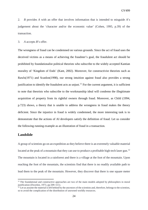2. *B* provides *A* with an offer that involves information that is intended to misguide *A*'s judgement about the 'character and/or the economic value' (Cohen, 1995, p.39) of the transaction.

3. *A* accepts *B*'s offer.

The wrongness of fraud can be condemned on various grounds. Since the act of fraud uses the deceived victims as a means of achieving the fraudster's goal, the fraudulent act should be prohibited by foundationalist political theorists who subscribe to the widely accepted Kantian morality of 'Kingdom of Ends' (Kant, 2002). Moreover, for constructivist theorists such as Rawls(1971) and Scanlon(1998), our strong intuition against fraud also provides a strong justification to identify the fraudulent acts as unjust.<sup>[11](#page-24-1)</sup> For the current argument, it is sufficient to note that theorists who subscribe to the workmanship ideal will condemn the illegitimate acquisition of property from its rightful owners through fraud. Moreover, as Child (1994, p.723) shows, a theory that is unable to address the wrongness in fraud makes the theory deficient. Since the injustice in fraud is widely condemned, the more interesting task is to demonstrate that the actions of AI developers satisfy the definition of fraud. Let us consider the following running example as an illustration of fraud in a transaction.

#### <span id="page-24-0"></span>**Landslide**

 $\overline{a}$ 

A group of scientists go on an expedition as they believe there is an extremely valuable material located at the peak of a mountain that they can use to produce a profitable high-tech laser gun.<sup>[12](#page-24-2)</sup> The mountain is located in a rainforest and there is a village at the foot of the mountain. Upon reaching the foot of the mountain, the scientists find that there is no readily available path to lead them to the peak of the mountain. However, they discover that there is one square meter

<span id="page-24-1"></span><sup>&</sup>lt;sup>11</sup> The foundational and constructive approaches are two of the main models adopted by philosophers in moral justification (Dworkin, 1973, pp.509–511).

<span id="page-24-2"></span> $<sup>12</sup>$  Let us assume the material is left behind by the ancestors of the scientists and, therefore, belongs to the scientists,</sup> so to avoid the complication of the distribution of unowned worldly resources.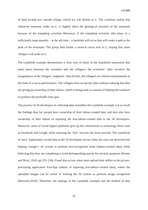of land located just outside village, which we will denote as *L*. The scientists realise that whenever someone walks on *L*, it slightly alters the geological structure of the mountain because of the trampling activities. Moreover, if the trampling activities take place in a sufficiently large quantity – at the *n*th time – a landslide will occur that will create a path to the peak of the mountain. The group then builds a carnival circus next to *L*, hoping that more villagers will walk on *L*.

The Landslide example demonstrates a clear case of fraud. In the fraudulent transaction that takes place between the scientists and the villagers, the scientists' offer involves the misguidance of the villagers' judgment. Specifically, the villagers are offered entertainment in the form of a circus performance. The villagers then accept the offer without realising that they are giving up ownership of their labour, which is being used as a means of helping the scientists to produce the profitable laser gun.

The practice of AI developers in collecting data resembles the Landslide example. Let us recall the findings thus far: people have ownership of their labour-created data, and they also have ownership of their labour of reporting the non-labour-created data to the AI developers. Moreover, users of social digital platforms give up this information to technology firms such as Facebook and Google while enjoying the 'free' services the firms provide. The transferral of users' legitimately owned data to the AI developers occurs when the users are deceived into helping Google's AI system to perform text-recognition tasks (labour-created data) while believing that they are completing a word-distinguishing puzzle for security purposes (Posner and Weyl, 2018, pp.235–236). Fraud also occurs when users upload their selfies to the pictureprocessing application FaceApp (labour of reporting non-labour-created data), where the uploaded images can be useful in training the AI system to perform image recognition (Brewster,2019). Therefore, the analogy of the Landslide example and the method of data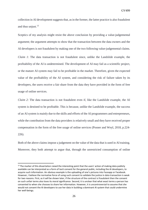collection in AI development suggests that, as in the former, the latter practice is also fraudulent and thus unjust. $13$ 

Sceptics of my analysis might resist the above conclusion by providing a value-judgemental argument; the argument attempts to show that the transaction between the data owners and the AI developers is not fraudulent by making one of the two following value-judgemental claims. *Claim 1*: The data transaction is not fraudulent since, unlike the Landslide example, the profitability of the AI is undetermined. The development of AI may fail as a scientific project, or the mature AI system may fail to be profitable in the market. Therefore, given the expected value of the profitability of the AI system, and considering the risk of failure taken by its developers, the users receive a fair share from the data they have provided in the form of free usage of online services.

*Claim 2*: The data transaction is not fraudulent even if, like the Landslide example, the AI system is destined to be profitable. This is because, unlike the Landslide example, the success of an AI system is mainly due to the skills and efforts of the AI programmers and entrepreneurs, while the contribution from the data providers is relatively small and they have received proper compensation in the form of the free usage of online services (Posner and Weyl, 2018, p.224- 226).

Both of the above claims impose a judgement on the value of the data that is used in AI training. Moreover, they both attempt to argue that, through the unrestricted consumption of online

**.** 

<span id="page-26-0"></span><sup>&</sup>lt;sup>13</sup> The marker of this dissertation raised the interesting point that the users' action of making data publicly available can be interpreted as a form of tacit consent for the general public, including the AI developers, to acquire such information. An obvious example is the uploading of one's pictures into Faceapp or Facebook. However, I believe the normative force of using such consent to validate the justice in data transaction is weak for two reasons. First, as it will be shown later, if the structure of the contract is fraudulent then the consent on such unfair terms also loses its moral significance. Second, it is unclear that what exact terms a person has consented to when she chooses to share her information. However, it is uncontroversial to assume that she would not consent the AI developers to use her data in building a dominant AI system that could undermine her well-beings.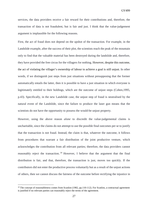services, the data providers receive a fair reward for their contributions and, therefore, the transaction of data is not fraudulent, but is fair and just. I think that the value-judgement argument is implausible for the following reasons.

First, the act of fraud does not depend on the upshot of the transaction. For example, in the Landslide example, after the success of their plot, the scientists reach the peak of the mountain only to find that the valuable material has been destroyed during the landslide and, therefore, they have provided the free circus for the villagers for nothing. However, despite this outcome, the act of violating the villager's ownership of labour to achieve a goal is still unjust. In other words, if we distinguish just steps from just situations without presupposing that the former automatically entails the latter, then it is possible to have a just situation in which everyone is legitimately entitled to their holdings, which are the outcome of unjust steps (Cohen,1995, p.43). Specifically, in the new Landslide case, the unjust step of fraud is neutralised by the natural event of the Landslide, since the failure to produce the laser gun means that the scientists do not have the opportunity to possess the would-be unjust property.

However, using the above reason *alone* to discredit the value-judgemental claims is uncharitable, since the claims do not attempt to use the possible final outcomes per se to justify that the transaction is not fraud. Instead, the claim is that, whatever the outcome, it follows from procedures that warrant a fair distribution of the joint productive venture, which acknowledges the contribution from all relevant parties; therefore, the data providers cannot reasonably reject the transaction.<sup>[14](#page-27-0)</sup> However, I believe that the argument that the final distribution is fair, and that, therefore, the transaction is just, moves too quickly. If the contributors did not enter the productive process voluntarily but as a result of the unjust actions of others, then we cannot discuss the fairness of the outcome before rectifying the injustice in

 $\overline{a}$ 

<span id="page-27-0"></span><sup>&</sup>lt;sup>14</sup> The concept of reasonableness comes from Scanlon (1982, pp.110-112). For Scanlon, a contractual agreement is justified if no relevant parties can reasonably reject the terms of the agreement.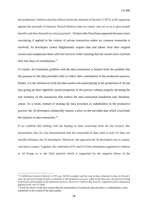the production. I believe that this follows from the rationale of Nozick's (1974, p.95) argument against the principle of fairness; Nozick believes that we cannot 'just act so as to give people benefits and then demand (or seize) payment'. I believe this Nozickian argument becomes more convincing if applied in the context of private transaction where no common ownership is involved; AI developers cannot illegitimately acquire data and labour from their original owners and compensate them with free services while claiming that the owners have received their fair share of contributions.<sup>[15](#page-28-0)</sup>

To clarify, the fraudulent problem with the data transaction is distinct from the problem that the payment to the data providers fails to reflect their contribution to the productive process. Rather, it is the intention to trick the data owners into participating in the production of AI and into giving up their rightfully owned properties in the process without properly declaring the true intention of the transaction that renders the data transaction fraudulent and, therefore, unjust. As a result, instead of treating the data providers as stakeholders in the productive process, the AI developers unilaterally impose a price on the provided data which exacerbate the injustice in data transaction. [16](#page-28-1)

If we combine this finding with the finding on data ownership from the last section, this dissertation, thus far, has demonstrated that the ownership of data used to train AI does not initially belong to the AI developers. Moreover, the approach the AI developers use to acquire such data is unjust. Together, the validation of *P1* and *P2* of the taintedness argument in relation to AI brings us to the third premise which is supported by the negative thesis of the

**.** 

<span id="page-28-0"></span><sup>&</sup>lt;sup>15</sup> A difference between Nozick's (1974, pp. 94-95) examples and the case of data collection is that, in Nozick's case, the person is being forced to contribute to the productive process, while in the data case, the person is being tricked into participating in the productive process. However, I believe that Nozick's argument can be adequately applied in the case of fraud.

<span id="page-28-1"></span><sup>&</sup>lt;sup>16</sup> It will be shown in the next section that the requirement of treating the data providers as stakeholders is also unsatisfied in the system of the data market.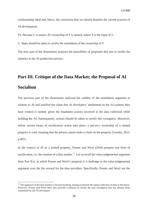workmanship ideal and, hence, the conclusion that we should abandon the current practice of AI development.

*P3*. Because *C* is unjust, *B's* ownership of *Y* is tainted, where *X* is the input of *Y*.

*C*. Steps should be taken to rectify the taintedness of the ownership of *Y*.

The next part of the dissertation analyses the plausibility of proposals that aim to rectify the injustice in the AI production process.

## <span id="page-29-0"></span>**Part III. Critique of the Data Market; the Proposal of AI Socialism**

The previous part of the dissertation analysed the validity of the taintedness argument in relation to AI and justified the claim that AI developers' entitlement to the AI systems they have created is tainted, given the fraudulent actions involved in the data collection while building the AI. Subsequently, actions should be taken to rectify this wrongness. Moreover, before certain forms of rectificatory action take place, a person's ownership of a tainted property is void, meaning that the person cannot make a claim on the property (Goodin, 2013, p.487).

In the context of AI as a tainted property, Posner and Weyl (2018) propose one form of rectification, i.e. the creation of a data market.<sup>17</sup>. Let us recall the value-judgemental argument from Part II-ii, in which Posner and Weyl's proposal is a challenge to the value-judgemental argument over the fair reward for the data providers. Specifically, Posner and Weyl use the

**.** 

<span id="page-29-1"></span> $17$  The approach of the data market is forward-looking, aiming to prevent the unjust collection of data in the future. However, Posner and Weyl must also provide a solution to rectify the past wrongness that has already been committed by the AI developers.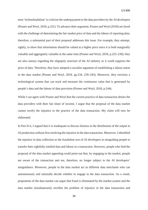term 'technofeudalism' to criticise the underpayment to the data providers by the AI developers (Posner and Weyl, 2018, p.231). To advance their argument, Posner and Weyl (2018) are faced with the challenge of determining the fair market price of data and the labour of reporting data; therefore, a substantial part of their proposal addresses this issue. For example, they attempt, rightly, to show that information should be valued at a higher price since it is both marginally valuable and aggregately valuable at the same time (Posner and Weyl, 2018, p.225–230); they are also uneasy regarding the oligopoly structure of the AI industry as it could suppress the price of data. Therefore, they have adopted a socialist argument of establishing a labour union in the data market (Posner and Weyl, 2018, pp.234, 239–243). Moreover, they envision a technological system that can track and measure the continuous value that is generated by people's data and the labour of data provision (Posner and Weyl, 2018, p.244).

While I can agree with Posner and Weyl that the current practice of data transaction denies the data providers with their fair share of income, I argue that the proposal of the data market cannot rectify the injustice in the practice of the data transaction. My claim will now be elaborated.

In Part II-ii, I argued that it is inadequate to discuss fairness in the distribution of the output in AI production without first resolving the injustice in the data transaction. Moreover, I identified the injustice in data collection as the fraudulent acts of AI developers in misguiding people to transfer their rightfully entitled data and labour in a transaction. However, people who find the proposal of the data market appealing could point out that, by engaging in the market, people are aware of the transaction and are, therefore, no longer subject to the AI developers' misguidance. Moreover, people in the data market act as different data merchants who can autonomously and rationally decide whether to engage in the data transaction. As a result, proponents of the data market can argue that fraud is eliminated by the market system and the data market simultaneously rectifies the problem of injustice in the data transaction and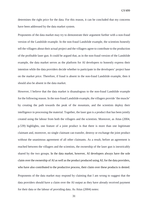determines the right price for the data. For this reason, it can be concluded that my concerns have been addressed by the data market system.

Proponents of the data market may try to demonstrate their argument further with a non-fraud version of the Landslide example. In the non-fraud Landslide example, the scientists honestly tell the villagers about their actual project and the villagers agree to contribute to the production of the profitable laser gun. It could be argued that, as in the non-fraud version of the Landslide example, the data market serves as the platform for AI developers to honestly express their intention while the data providers decide whether to participate in the developers' project base on the market price. Therefore, if fraud is absent in the non-fraud Landslide example, then it should also be absent in the data market.

However, I believe that the data market is disanalogous to the non-fraud Landslide example for the following reason. In the non-fraud Landslide example, the villagers provide 'the muscle' by creating the path towards the peak of the mountain, and the scientists deploy their intelligence in processing the material. Together, the laser gun is a product that has been jointly created using the labour from both the villagers and the scientists. Moreover, as Attas (2004, p.539) highlights, one feature of a joint product is that there is more than one legitimate claimant and, moreover, no single claimant can transfer, destroy or exchange the joint product without the unanimous agreement of all other claimants. As a result, before an agreement is reached between the villagers and the scientists, the ownership of the laser gun is inextricably shared by the two groups. In the data market, however, AI developers always have the sole claim over the ownership of AI as well as the product produced using AI; for the data providers, who have also contributed to the productive process, their claim over these products is denied. Proponents of the data market may respond by claiming that I am wrong to suggest that the data providers should have a claim over the AI output as they have already received payment for their data or the labour of providing data. As Attas (2004) notes: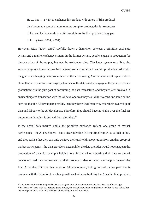He … has … a right to exchange his product with others. If [the product] then becomes a part of a larger or more complex product, this is no concern of his, and he has certainly no further right to the final product of any part of it … (Attas, 2004, p.551).

However, Attas (2004, p.552) usefully draws a distinction between a primitive exchange system and a market exchange system. In the former system, people engage in production for the use-value of the output, but not the exchange-value. The latter system resembles the economy system in modern society, where people specialise in certain productive tasks with the goal of exchanging their products with others. Following Attas's rationale, it is plausible to claim that, in a primitive exchange system where the data creators engage in the process of data production with the pure goal of consuming the data themselves, and they are later involved in an unanticipated transaction with the AI developers as they would like to consume some online services that the AI developers provide, then they have legitimately transfer their ownership of data and labour to the AI developers. Therefore, they should have no claim over the final AI output even though it is derived from their data.<sup>[18](#page-32-0)</sup>

In the actual data market, unlike the primitive exchange system, one group of market participants – the AI developers – has a clear intention in benefiting from AI as a final output, and they realise that they can only achieve their goal with cooperation from another group of market participants – the data providers. Meanwhile, the data provider would not engage in the production of data, for example helping to train the AI or reporting their data to the AI developers, had they not known that their product of data or labour can help to develop the final AI product.<sup>[19](#page-32-1)</sup> Given this nature of AI development, both groups of market participants produce with the intention to exchange with each other in building the AI as the final product,

1

<span id="page-32-0"></span><sup>&</sup>lt;sup>18</sup> The transaction is unanticipated since the original goal of production was not for the sake of exchange.

<span id="page-32-1"></span><sup>&</sup>lt;sup>19</sup> In the case of data such as strategic game moves, the initial knowledge might be created for its use-value. But the emergence of AI also adds the layer of exchange to this knowledge.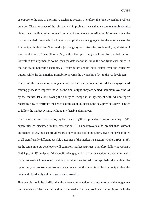as oppose to the case of a primitive exchange system. Therefore, the joint ownership problem emerges. The emergence of the joint ownership problem means that we cannot simply dismiss claims over the final joint product from any of the relevant contributors. Moreover, since the market is a platform on which all labours and products are aggregated for the emergence of the final output, in this case, 'the [market]exchange system raises the problem of [the] division of joint production' (Attas, 2004, p.552), rather than providing a solution for the distribution. Overall, if this argument is sound, then the data market is unlike the non-fraud case, since, in the non-fraud Landslide example, all contributors should have claims over the collective output, while the data market arbitrability awards the ownership of AI to the AI developers.

Therefore, the data market is unjust since, for the data providers, even if they engage in AI training process to improve the AI as the final output, they are denied their claim over the AI by the market, let alone having the ability to engage in an agreement with AI developers regarding how to distribute the benefits of this output. Instead, the data providers have to agree to follow the market system, without any feasible alternatives.

This feature becomes more worrying by considering the empirical observations relating to AI's capabilities as discussed in this dissertation. It is uncontroversial to predict that, without entitlement to AI, the data providers are likely to lose out in the future, given the 'probabilities of all significantly different possible outcomes of the market transaction' (Cohen, 1995, p.48). At the same time, AI developers will gain from market activities. Therefore, following Cohen's (1995, pp.48–53) analysis, if the benefits of engaging in market transactions are asymmetrically biased towards AI developers, and data providers are forced to accept their odds without the opportunity to propose new arrangements on sharing the benefits of the final output, then the data market is deeply unfair towards data providers.

However, it should be clarified that the above argument does not need to rely on the judgement on the upshot of the data transaction in the market for data providers. Rather, injustice in the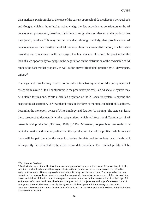data market is *partly* similar to the case of the current approach of data collection by Facebook and Google, which is the refusal to acknowledge the data providers as contributors to the AI development process and, therefore, the failure to assign them entitlement to the products that they jointly produce.<sup>[20](#page-34-0)</sup> It may be the case that, although unlikely, data providers and AI developers agree on a distribution of AI that resembles the current distribution, in which data providers are compensated with free usage of online services. However, the point is that the lack of such opportunity to engage in the negotiation on the distribution of the ownership of AI renders the data market proposal, as well as the current fraudulent practice by AI developers, unjust. $21$ 

The argument thus far may lead us to consider alternative systems of AI development that assign claims over AI to all contributors in the productive process – an AI socialist system may be suitable for this end. While a detailed depiction of the AI socialist system is beyond the scope of this dissertation, I believe that it can take the form of the state, on behalf of its citizens, becoming the monopoly owner of AI technology and data for AI training. The state can lease these resources to democratic worker cooperatives, which will focus on different areas of AI research and production (Thomas, 2016, p.225). Moreover, cooperatives can trade in a capitalist market and receive profits from their production. Part of the profits made from such trade will be paid back to the state for leasing the data and technology; such funds will subsequently be redirected to the citizens qua data providers. The residual profits will be

 $\overline{a}$ 

<span id="page-34-0"></span><sup>20</sup> See footnote 14 above.

<span id="page-34-1"></span><sup>&</sup>lt;sup>21</sup> To elucidate my position. I believe there are two types of wrongness in the current AI transaction, first, the intention to trick the data providers to participate in the AI production process and second the refusal to assign entitlement of AI to data providers, which is built using their labour or data. The proposal of the data market can be perceived as a massive information campaign in improving the awareness of the values of data, therefore it is free of the first type of wrongness. However, since the capital market still arbitrarily assigns full entitlement of AI to AI producers, the data market proposal still subjects to the charge of the second type of wrongness. After all, I believe, to rectify the injustice in AI development, it is necessary to raise public awareness. However, this approach alone is insufficient, as structural change for a fair system of AI distribution is required for this end.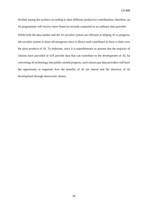divided among the workers according to their different productive contributions; therefore, an AI programmer will receive more financial rewards compared to an ordinary data provider.

While both the data market and the AI socialist system are efficient at helping AI to progress, the socialist system is more advantageous since it allows each contributor to have a claim over the joint products of AI. To elaborate, since it is unproblematic to assume that the majority of citizens have provided or will provide data that can contribute to the development of AI, by converting AI technology into public-owned property, each citizen qua data providers will have the opportunity to negotiate how the benefits of AI are shared and the direction of AI development through democratic means.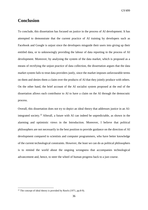GV499

#### <span id="page-36-0"></span>**Conclusion**

To conclude, this dissertation has focused on justice in the process of AI development. It has attempted to demonstrate that the current practice of AI training by developers such as Facebook and Google is unjust since the developers misguide their users into giving up their entitled data, or to unknowingly providing the labour of data reporting in the process of AI development. Moreover, by analysing the system of the data market, which is proposed as a means of rectifying the unjust practice of data collection, the dissertation argues that the data market system fails to treat data providers justly, since the market imposes unfavourable terms on them and denies them a claim over the products of AI that they jointly produce with others. On the other hand, the brief account of the AI socialist system proposed at the end of the dissertation allows each contributor to AI to have a claim on the AI through the democratic process.

Overall, this dissertation does not try to depict an ideal theory that addresses justice in an AI-integrated society.<sup>[22](#page-36-1)</sup> Afterall, a future with AI can indeed be unpredictable, as shown in the alarming and optimistic views in the Introduction. Moreover, I believe that political philosophers are not necessarily in the best position to provide guidance on the direction of AI development compared to scientists and computer programmers, who have better knowledge of the current technological constraints. However, the least we can do as political philosophers is to remind the world about the ongoing wrongness that accompanies technological advancement and, hence, to steer the wheel of human progress back to a just course.

1

<span id="page-36-1"></span> $22$  The concept of ideal theory is provided by Rawls (1971, pp.8-9).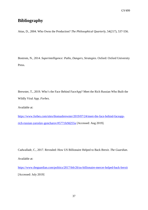#### <span id="page-37-0"></span>**Bibliography**

Attas, D., 2004. Who Owns the Production? *The Philosophical Quarterly*, 54(217), 537-556.

Bostrom, N., 2014. *Superintelligence: Paths, Dangers, Strategies*. Oxford: Oxford University Press.

Brewster, T., 2019. Who's the Face Behind FaceApp? Meet the Rich Russian Who Built the Wildly Viral App. *Forbes*.

Available at:

[https://www.forbes.com/sites/thomasbrewster/2019/07/24/meet-the-face-behind-faceapp](https://www.forbes.com/sites/thomasbrewster/2019/07/24/meet-the-face-behind-faceapp-rich-russian-yaroslav-goncharov/#5771fe9d255a)[rich-russian-yaroslav-goncharov/#5771fe9d255a](https://www.forbes.com/sites/thomasbrewster/2019/07/24/meet-the-face-behind-faceapp-rich-russian-yaroslav-goncharov/#5771fe9d255a) [Accessed: Aug 2019].

Cadwalladr, C., 2017. Revealed: How US Billionaire Helped to Back Brexit. *The Guardian*. Available at:

<https://www.theguardian.com/politics/2017/feb/26/us-billionaire-mercer-helped-back-brexit> [Accessed: July 2019]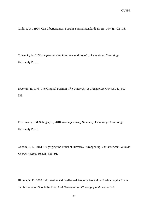Child, J, W., 1994. Can Libertarianism Sustain a Fraud Standard? *Ethics*, 104(4), 722-738.

Cohen, G, A., 1995. *Self-ownership, Freedom, and Equality*. Cambridge: Cambridge University Press.

Dworkin, R.,1973. The Original Position. *The University of Chicago Law Review*, 40, 500- 533.

Frischmann, B & Selinger, E., 2018. *Re-Engineering Humanity*. Cambridge: Cambridge University Press.

Goodin, R, E., 2013. Disgorging the Fruits of Historical Wrongdoing. *The American Political Science Review*, 107(3), 478-491.

Himma, K, E., 2005. Information and Intellectual Property Protection: Evaluating the Claim that Information Should be Free. *APA Newsletter on Philosophy and Law*, 4, 3-9.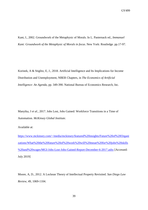Kant, I., 2002. Groundwork of the Metaphysic of Morals. In L. Pasternack ed., *Immanuel Kant: Groundwork of the Metaphysic of Morals in focus*. New York: Routledge. pp.17-97.

Korinek, A & Stiglitz, E, J., 2018. Artificial Intelligence and Its Implications for Income Distribution and Unemployment, NBER Chapters, in *The Economics of Artificial Intelligence: An Agenda*, pp. 349-390. National Bureau of Economics Research, Inc.

Manyika, J *et al*., 2017. Jobs Lost, Jobs Gained: Workforce Transitions in a Time of Automation*. McKinsey Global Institute*.

Available at:

[https://www.mckinsey.com/~/media/mckinsey/featured%20insights/Future%20of%20Organi](https://www.mckinsey.com/%7E/media/mckinsey/featured%20insights/Future%20of%20Organizations/What%20the%20future%20of%20work%20will%20mean%20for%20jobs%20skills%20and%20wages/MGI-Jobs-Lost-Jobs-Gained-Report-December-6-2017.ashx) [zations/What%20the%20future%20of%20work%20will%20mean%20for%20jobs%20skills](https://www.mckinsey.com/%7E/media/mckinsey/featured%20insights/Future%20of%20Organizations/What%20the%20future%20of%20work%20will%20mean%20for%20jobs%20skills%20and%20wages/MGI-Jobs-Lost-Jobs-Gained-Report-December-6-2017.ashx) [%20and%20wages/MGI-Jobs-Lost-Jobs-Gained-Report-December-6-2017.ashx](https://www.mckinsey.com/%7E/media/mckinsey/featured%20insights/Future%20of%20Organizations/What%20the%20future%20of%20work%20will%20mean%20for%20jobs%20skills%20and%20wages/MGI-Jobs-Lost-Jobs-Gained-Report-December-6-2017.ashx) [Accessed: July 2019]

Moore, A, D., 2012. A Lockean Theory of Intellectual Property Revisited. *San Diego Law Review*, 49, 1069-1104.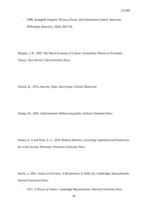- 1998. Intangible Property: Privacy, Power, and Information Control. *American Philosophy Quarterly*, 35(4), 365-378.

Murphy, J, B., 1993. The Moral Economy of Labour: Aristotelian Themes in Economic Theory. New Haven: Yale University Press.

Nozick, R., 1974. *Anarchy, State, And Utopia*. Oxford: Blackwell.

Otsuka, M., 2003. *Libertarianism Without Inequality*. Oxford: Clarendon Press.

Posner, E, A and Weyl, E, G., 2018. *Radical Markets: Uprooting Capitalism and Democracy for a Just Society*. Princeton: Princeton University Press.

Rawls, J., 2001. *Justice as Fairness: A Restatement*, E. Kelly ed., Cambridge, Massachusetts: Harvard University Press.

- 1971. *A Theory of Justice*. Cambridge Massachusetts: Harvard University Press.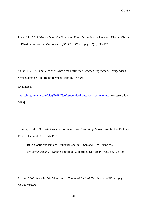Rose, J, L., 2014. Money Does Not Guarantee Time: Discretionary Time as a Distinct Object of Distributive Justice. *The Journal of Political Philosophy*, 22(4), 438-457.

Salian, I., 2018. SuperVize Me: What's the Difference Between Supervised, Unsupervised, Semi-Supervised and Reinforcement Learning? *Nvidia*.

Available at:

<https://blogs.nvidia.com/blog/2018/08/02/supervised-unsupervised-learning/>[Accessed: July 2019].

Scanlon, T, M.,1998. *What We Owe to Each Other*. Cambridge Massachusetts: The Belknap Press of Harvard University Press.

- 1982. Contractualism and Utilitarianism. In A, Sen and B, Williams eds., *Utilitarianism and Beyond*. Cambridge: Cambridge University Press. pp. 103-128.

Sen, A., 2006. What Do We Want from a Theory of Justice? *The Journal of Philosophy,*  103(5), 215-238.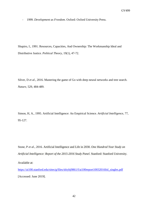- 1999. *Development as Freedom*. Oxford: Oxford University Press.

Shapiro, I., 1991. Resources, Capacities, And Ownership: The Workmanship Ideal and Distributive Justice. *Political Theory*, 19(1), 47-72.

Silver, D *et al.*, 2016. Mastering the game of Go with deep neural networks and tree search. *Nature*, 529, 484-489.

Simon, H, A., 1995. Artificial Intelligence: An Empirical Science. *Artificial Intelligence*, 77, 95-127.

Stone, P *et al*., 2016. Artificial Intelligence and Life in 2030. *One Hundred Year Study on Artificial Intelligence: Report of the 2015-2016 Study Panel*. Stanford: Stanford University.

Available at:

[https://ai100.stanford.edu/sites/g/files/sbiybj9861/f/ai100report10032016fnl\\_singles.pdf](https://ai100.stanford.edu/sites/g/files/sbiybj9861/f/ai100report10032016fnl_singles.pdf) [Accessed: June 2019].